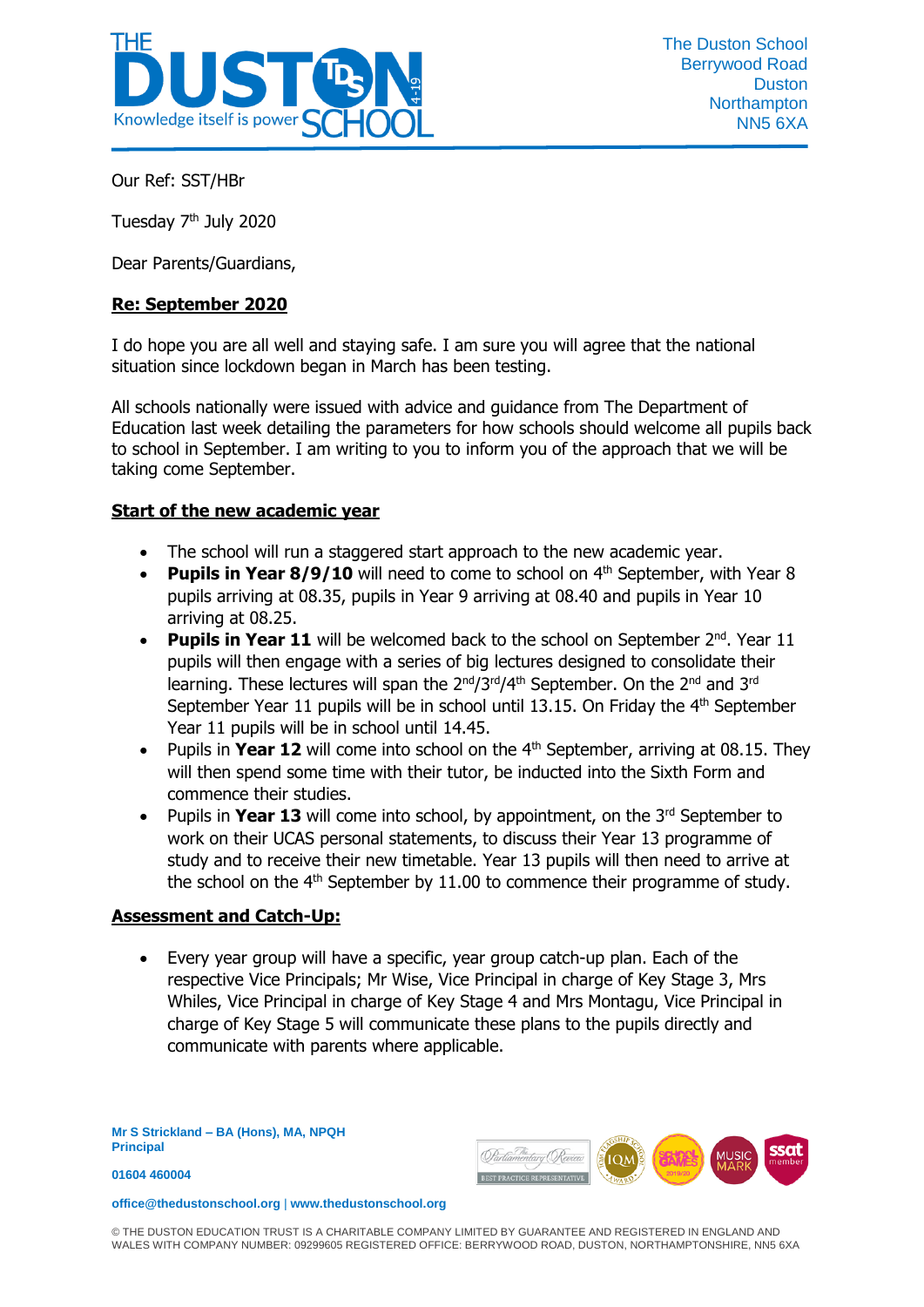

Our Ref: SST/HBr

Tuesday 7th July 2020

Dear Parents/Guardians,

## **Re: September 2020**

I do hope you are all well and staying safe. I am sure you will agree that the national situation since lockdown began in March has been testing.

All schools nationally were issued with advice and guidance from The Department of Education last week detailing the parameters for how schools should welcome all pupils back to school in September. I am writing to you to inform you of the approach that we will be taking come September.

## **Start of the new academic year**

- The school will run a staggered start approach to the new academic year.
- Pupils in Year 8/9/10 will need to come to school on 4<sup>th</sup> September, with Year 8 pupils arriving at 08.35, pupils in Year 9 arriving at 08.40 and pupils in Year 10 arriving at 08.25.
- **Pupils in Year 11** will be welcomed back to the school on September 2<sup>nd</sup>. Year 11 pupils will then engage with a series of big lectures designed to consolidate their learning. These lectures will span the 2<sup>nd</sup>/3<sup>rd</sup>/4<sup>th</sup> September. On the 2<sup>nd</sup> and 3<sup>rd</sup> September Year 11 pupils will be in school until 13.15. On Friday the  $4<sup>th</sup>$  September Year 11 pupils will be in school until 14.45.
- Pupils in Year 12 will come into school on the 4<sup>th</sup> September, arriving at 08.15. They will then spend some time with their tutor, be inducted into the Sixth Form and commence their studies.
- Pupils in **Year 13** will come into school, by appointment, on the 3<sup>rd</sup> September to work on their UCAS personal statements, to discuss their Year 13 programme of study and to receive their new timetable. Year 13 pupils will then need to arrive at the school on the  $4<sup>th</sup>$  September by 11.00 to commence their programme of study.

## **Assessment and Catch-Up:**

 Every year group will have a specific, year group catch-up plan. Each of the respective Vice Principals; Mr Wise, Vice Principal in charge of Key Stage 3, Mrs Whiles, Vice Principal in charge of Key Stage 4 and Mrs Montagu, Vice Principal in charge of Key Stage 5 will communicate these plans to the pupils directly and communicate with parents where applicable.

**Mr S Strickland – BA (Hons), MA, NPQH Principal**



**office@thedustonschool.org** | **[www.thedustonschool.org](http://www.thedustonschool.org/)**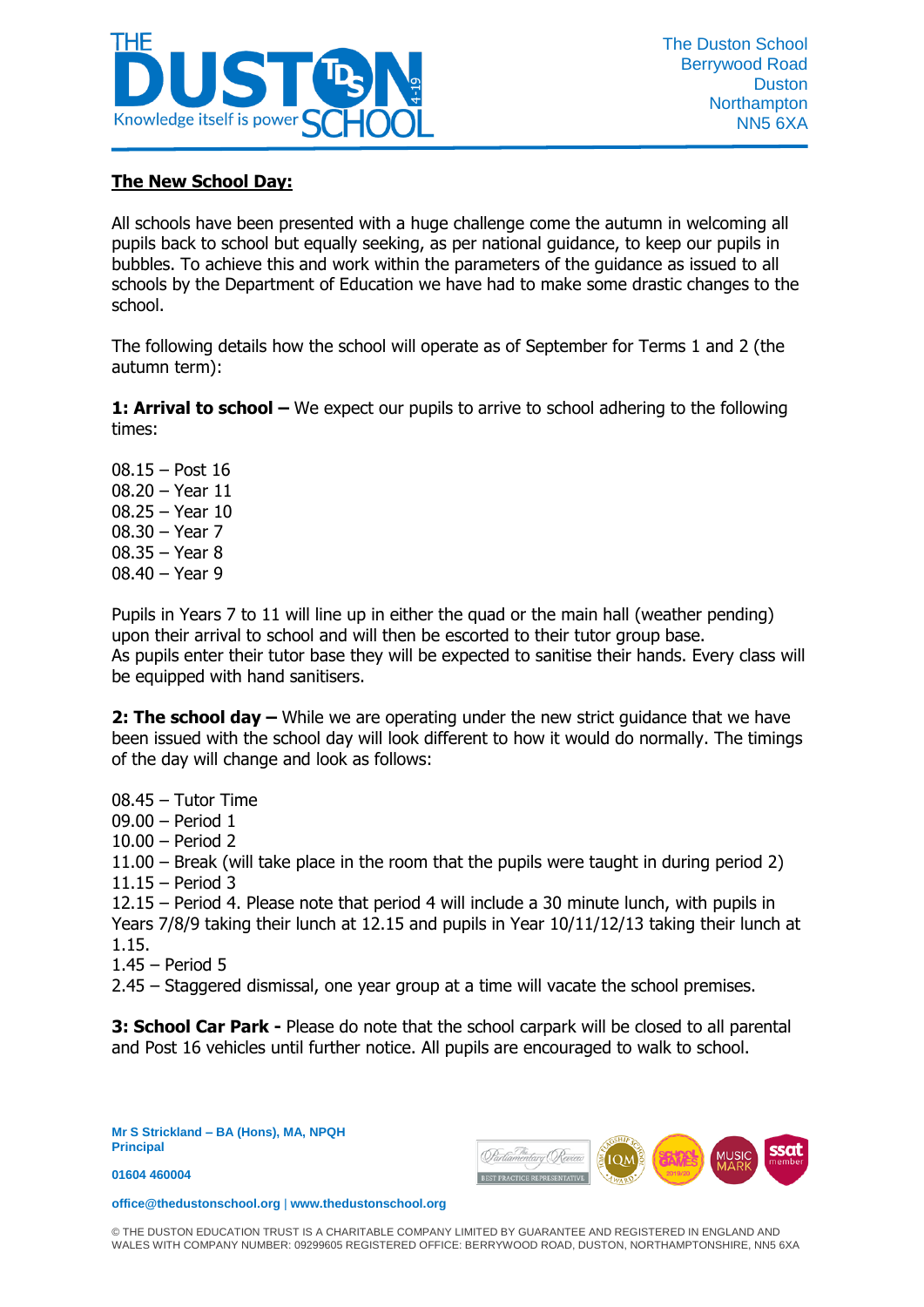

## **The New School Day:**

All schools have been presented with a huge challenge come the autumn in welcoming all pupils back to school but equally seeking, as per national guidance, to keep our pupils in bubbles. To achieve this and work within the parameters of the guidance as issued to all schools by the Department of Education we have had to make some drastic changes to the school.

The following details how the school will operate as of September for Terms 1 and 2 (the autumn term):

**1: Arrival to school –** We expect our pupils to arrive to school adhering to the following times:

08.15 – Post 16 08.20 – Year 11 08.25 – Year 10 08.30 – Year 7 08.35 – Year 8 08.40 – Year 9

Pupils in Years 7 to 11 will line up in either the quad or the main hall (weather pending) upon their arrival to school and will then be escorted to their tutor group base. As pupils enter their tutor base they will be expected to sanitise their hands. Every class will be equipped with hand sanitisers.

**2: The school day –** While we are operating under the new strict guidance that we have been issued with the school day will look different to how it would do normally. The timings of the day will change and look as follows:

08.45 – Tutor Time 09.00 – Period 1 10.00 – Period 2 11.00 – Break (will take place in the room that the pupils were taught in during period 2) 11.15 – Period 3 12.15 – Period 4. Please note that period 4 will include a 30 minute lunch, with pupils in Years 7/8/9 taking their lunch at 12.15 and pupils in Year 10/11/12/13 taking their lunch at 1.15. 1.45 – Period 5 2.45 – Staggered dismissal, one year group at a time will vacate the school premises.

**3: School Car Park -** Please do note that the school carpark will be closed to all parental and Post 16 vehicles until further notice. All pupils are encouraged to walk to school.

**Mr S Strickland – BA (Hons), MA, NPQH Principal**

**01604 460004** 



**office@thedustonschool.org** | **[www.thedustonschool.org](http://www.thedustonschool.org/)**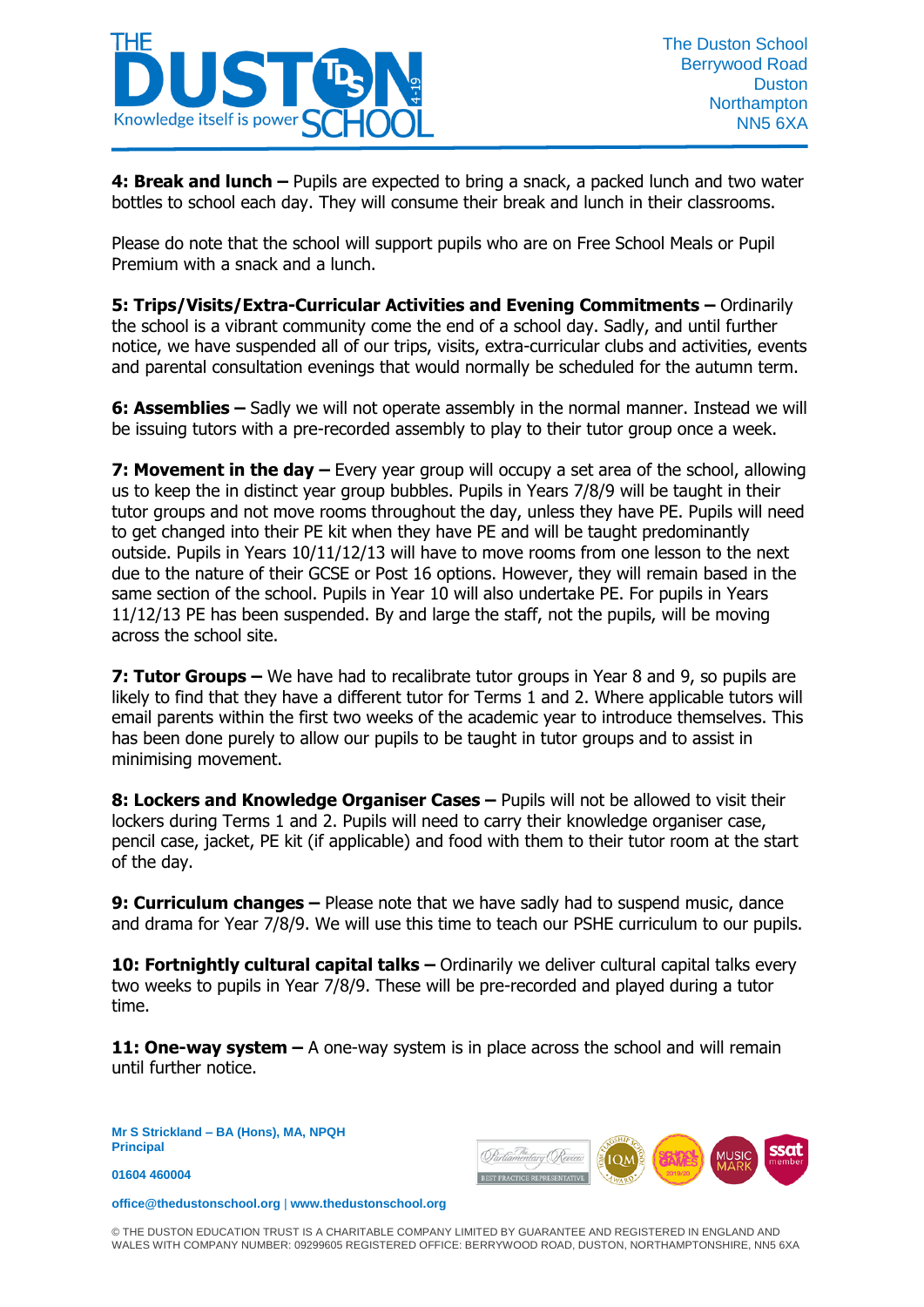

**4: Break and lunch –** Pupils are expected to bring a snack, a packed lunch and two water bottles to school each day. They will consume their break and lunch in their classrooms.

Please do note that the school will support pupils who are on Free School Meals or Pupil Premium with a snack and a lunch.

**5: Trips/Visits/Extra-Curricular Activities and Evening Commitments –** Ordinarily the school is a vibrant community come the end of a school day. Sadly, and until further notice, we have suspended all of our trips, visits, extra-curricular clubs and activities, events and parental consultation evenings that would normally be scheduled for the autumn term.

**6: Assemblies –** Sadly we will not operate assembly in the normal manner. Instead we will be issuing tutors with a pre-recorded assembly to play to their tutor group once a week.

**7: Movement in the day –** Every year group will occupy a set area of the school, allowing us to keep the in distinct year group bubbles. Pupils in Years 7/8/9 will be taught in their tutor groups and not move rooms throughout the day, unless they have PE. Pupils will need to get changed into their PE kit when they have PE and will be taught predominantly outside. Pupils in Years 10/11/12/13 will have to move rooms from one lesson to the next due to the nature of their GCSE or Post 16 options. However, they will remain based in the same section of the school. Pupils in Year 10 will also undertake PE. For pupils in Years 11/12/13 PE has been suspended. By and large the staff, not the pupils, will be moving across the school site.

**7: Tutor Groups –** We have had to recalibrate tutor groups in Year 8 and 9, so pupils are likely to find that they have a different tutor for Terms 1 and 2. Where applicable tutors will email parents within the first two weeks of the academic year to introduce themselves. This has been done purely to allow our pupils to be taught in tutor groups and to assist in minimising movement.

**8: Lockers and Knowledge Organiser Cases – Pupils will not be allowed to visit their** lockers during Terms 1 and 2. Pupils will need to carry their knowledge organiser case, pencil case, jacket, PE kit (if applicable) and food with them to their tutor room at the start of the day.

**9: Curriculum changes –** Please note that we have sadly had to suspend music, dance and drama for Year 7/8/9. We will use this time to teach our PSHE curriculum to our pupils.

**10: Fortnightly cultural capital talks –** Ordinarily we deliver cultural capital talks every two weeks to pupils in Year 7/8/9. These will be pre-recorded and played during a tutor time.

**11: One-way system –** A one-way system is in place across the school and will remain until further notice.

**Mr S Strickland – BA (Hons), MA, NPQH Principal**

**01604 460004** 



**office@thedustonschool.org** | **[www.thedustonschool.org](http://www.thedustonschool.org/)**